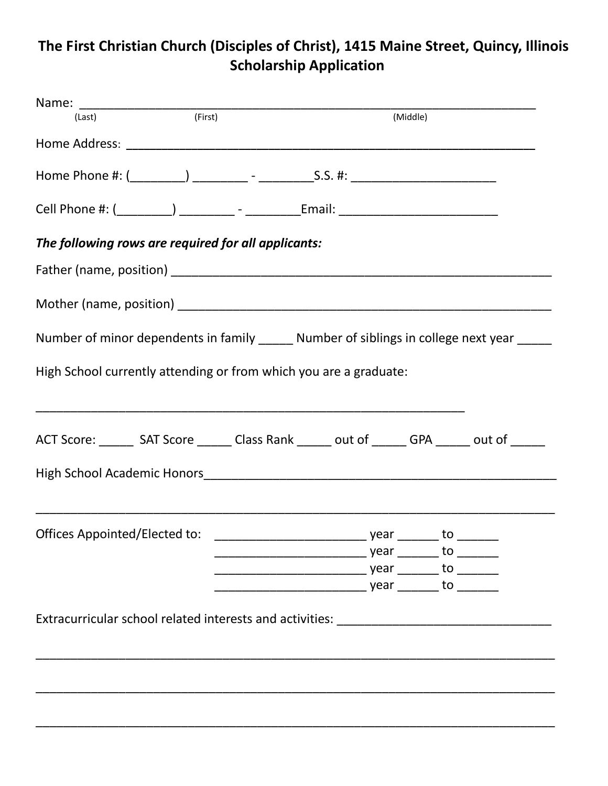## **The First Christian Church (Disciples of Christ), 1415 Maine Street, Quincy, Illinois Scholarship Application**

| (Last)                                                                                          | (First) | (Middle) |    |  |
|-------------------------------------------------------------------------------------------------|---------|----------|----|--|
|                                                                                                 |         |          |    |  |
|                                                                                                 |         |          |    |  |
|                                                                                                 |         |          |    |  |
| The following rows are required for all applicants:                                             |         |          |    |  |
|                                                                                                 |         |          |    |  |
|                                                                                                 |         |          |    |  |
| Number of minor dependents in family ______ Number of siblings in college next year _____       |         |          |    |  |
| High School currently attending or from which you are a graduate:                               |         |          |    |  |
| ACT Score: ________ SAT Score _______ Class Rank ______ out of _______ GPA ______ out of ______ |         |          |    |  |
|                                                                                                 |         |          |    |  |
| Offices Appointed/Elected to:                                                                   |         | year _   | to |  |
|                                                                                                 |         |          |    |  |
|                                                                                                 |         |          |    |  |
|                                                                                                 |         |          |    |  |
| Extracurricular school related interests and activities: _______________________                |         |          |    |  |
|                                                                                                 |         |          |    |  |
|                                                                                                 |         |          |    |  |
|                                                                                                 |         |          |    |  |
|                                                                                                 |         |          |    |  |
|                                                                                                 |         |          |    |  |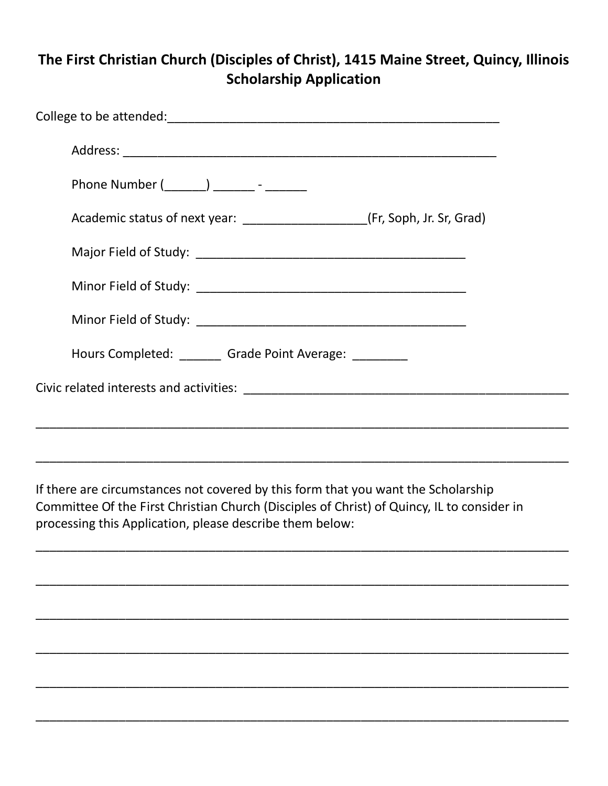#### **The First Christian Church (Disciples of Christ), 1415 Maine Street, Quincy, Illinois Scholarship Application**

| Phone Number (_______) ________ - _______                                     |  |
|-------------------------------------------------------------------------------|--|
| Academic status of next year: _______________________(Fr, Soph, Jr. Sr, Grad) |  |
|                                                                               |  |
|                                                                               |  |
|                                                                               |  |
| Hours Completed: _______ Grade Point Average: ________                        |  |
|                                                                               |  |
|                                                                               |  |
|                                                                               |  |

If there are circumstances not covered by this form that you want the Scholarship Committee Of the First Christian Church (Disciples of Christ) of Quincy, IL to consider in processing this Application, please describe them below:

\_\_\_\_\_\_\_\_\_\_\_\_\_\_\_\_\_\_\_\_\_\_\_\_\_\_\_\_\_\_\_\_\_\_\_\_\_\_\_\_\_\_\_\_\_\_\_\_\_\_\_\_\_\_\_\_\_\_\_\_\_\_\_\_\_\_\_\_\_\_\_\_\_\_\_\_\_

\_\_\_\_\_\_\_\_\_\_\_\_\_\_\_\_\_\_\_\_\_\_\_\_\_\_\_\_\_\_\_\_\_\_\_\_\_\_\_\_\_\_\_\_\_\_\_\_\_\_\_\_\_\_\_\_\_\_\_\_\_\_\_\_\_\_\_\_\_\_\_\_\_\_\_\_\_

\_\_\_\_\_\_\_\_\_\_\_\_\_\_\_\_\_\_\_\_\_\_\_\_\_\_\_\_\_\_\_\_\_\_\_\_\_\_\_\_\_\_\_\_\_\_\_\_\_\_\_\_\_\_\_\_\_\_\_\_\_\_\_\_\_\_\_\_\_\_\_\_\_\_\_\_\_

\_\_\_\_\_\_\_\_\_\_\_\_\_\_\_\_\_\_\_\_\_\_\_\_\_\_\_\_\_\_\_\_\_\_\_\_\_\_\_\_\_\_\_\_\_\_\_\_\_\_\_\_\_\_\_\_\_\_\_\_\_\_\_\_\_\_\_\_\_\_\_\_\_\_\_\_\_

\_\_\_\_\_\_\_\_\_\_\_\_\_\_\_\_\_\_\_\_\_\_\_\_\_\_\_\_\_\_\_\_\_\_\_\_\_\_\_\_\_\_\_\_\_\_\_\_\_\_\_\_\_\_\_\_\_\_\_\_\_\_\_\_\_\_\_\_\_\_\_\_\_\_\_\_\_

\_\_\_\_\_\_\_\_\_\_\_\_\_\_\_\_\_\_\_\_\_\_\_\_\_\_\_\_\_\_\_\_\_\_\_\_\_\_\_\_\_\_\_\_\_\_\_\_\_\_\_\_\_\_\_\_\_\_\_\_\_\_\_\_\_\_\_\_\_\_\_\_\_\_\_\_\_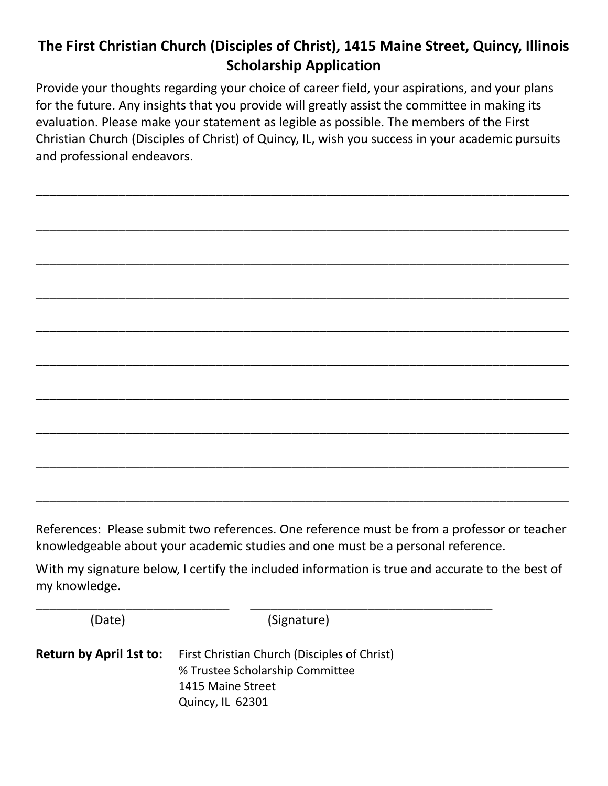# **The First Christian Church (Disciples of Christ), 1415 Maine Street, Quincy, Illinois Scholarship Application**

Provide your thoughts regarding your choice of career field, your aspirations, and your plans for the future. Any insights that you provide will greatly assist the committee in making its evaluation. Please make your statement as legible as possible. The members of the First Christian Church (Disciples of Christ) of Quincy, IL, wish you success in your academic pursuits and professional endeavors.

\_\_\_\_\_\_\_\_\_\_\_\_\_\_\_\_\_\_\_\_\_\_\_\_\_\_\_\_\_\_\_\_\_\_\_\_\_\_\_\_\_\_\_\_\_\_\_\_\_\_\_\_\_\_\_\_\_\_\_\_\_\_\_\_\_\_\_\_\_\_\_\_\_\_\_\_\_

\_\_\_\_\_\_\_\_\_\_\_\_\_\_\_\_\_\_\_\_\_\_\_\_\_\_\_\_\_\_\_\_\_\_\_\_\_\_\_\_\_\_\_\_\_\_\_\_\_\_\_\_\_\_\_\_\_\_\_\_\_\_\_\_\_\_\_\_\_\_\_\_\_\_\_\_\_

\_\_\_\_\_\_\_\_\_\_\_\_\_\_\_\_\_\_\_\_\_\_\_\_\_\_\_\_\_\_\_\_\_\_\_\_\_\_\_\_\_\_\_\_\_\_\_\_\_\_\_\_\_\_\_\_\_\_\_\_\_\_\_\_\_\_\_\_\_\_\_\_\_\_\_\_\_

\_\_\_\_\_\_\_\_\_\_\_\_\_\_\_\_\_\_\_\_\_\_\_\_\_\_\_\_\_\_\_\_\_\_\_\_\_\_\_\_\_\_\_\_\_\_\_\_\_\_\_\_\_\_\_\_\_\_\_\_\_\_\_\_\_\_\_\_\_\_\_\_\_\_\_\_\_

\_\_\_\_\_\_\_\_\_\_\_\_\_\_\_\_\_\_\_\_\_\_\_\_\_\_\_\_\_\_\_\_\_\_\_\_\_\_\_\_\_\_\_\_\_\_\_\_\_\_\_\_\_\_\_\_\_\_\_\_\_\_\_\_\_\_\_\_\_\_\_\_\_\_\_\_\_

\_\_\_\_\_\_\_\_\_\_\_\_\_\_\_\_\_\_\_\_\_\_\_\_\_\_\_\_\_\_\_\_\_\_\_\_\_\_\_\_\_\_\_\_\_\_\_\_\_\_\_\_\_\_\_\_\_\_\_\_\_\_\_\_\_\_\_\_\_\_\_\_\_\_\_\_\_

\_\_\_\_\_\_\_\_\_\_\_\_\_\_\_\_\_\_\_\_\_\_\_\_\_\_\_\_\_\_\_\_\_\_\_\_\_\_\_\_\_\_\_\_\_\_\_\_\_\_\_\_\_\_\_\_\_\_\_\_\_\_\_\_\_\_\_\_\_\_\_\_\_\_\_\_\_

\_\_\_\_\_\_\_\_\_\_\_\_\_\_\_\_\_\_\_\_\_\_\_\_\_\_\_\_\_\_\_\_\_\_\_\_\_\_\_\_\_\_\_\_\_\_\_\_\_\_\_\_\_\_\_\_\_\_\_\_\_\_\_\_\_\_\_\_\_\_\_\_\_\_\_\_\_

\_\_\_\_\_\_\_\_\_\_\_\_\_\_\_\_\_\_\_\_\_\_\_\_\_\_\_\_\_\_\_\_\_\_\_\_\_\_\_\_\_\_\_\_\_\_\_\_\_\_\_\_\_\_\_\_\_\_\_\_\_\_\_\_\_\_\_\_\_\_\_\_\_\_\_\_\_

\_\_\_\_\_\_\_\_\_\_\_\_\_\_\_\_\_\_\_\_\_\_\_\_\_\_\_\_\_\_\_\_\_\_\_\_\_\_\_\_\_\_\_\_\_\_\_\_\_\_\_\_\_\_\_\_\_\_\_\_\_\_\_\_\_\_\_\_\_\_\_\_\_\_\_\_\_ References: Please submit two references. One reference must be from a professor or teacher knowledgeable about your academic studies and one must be a personal reference.

With my signature below, I certify the included information is true and accurate to the best of my knowledge.

(Date) (Signature)

\_\_\_\_\_\_\_\_\_\_\_\_\_\_\_\_\_\_\_\_\_\_\_\_\_\_\_\_ \_\_\_\_\_\_\_\_\_\_\_\_\_\_\_\_\_\_\_\_\_\_\_\_\_\_\_\_\_\_\_\_\_\_\_

**Return by April 1st to:** First Christian Church (Disciples of Christ) % Trustee Scholarship Committee 1415 Maine Street Quincy, IL 62301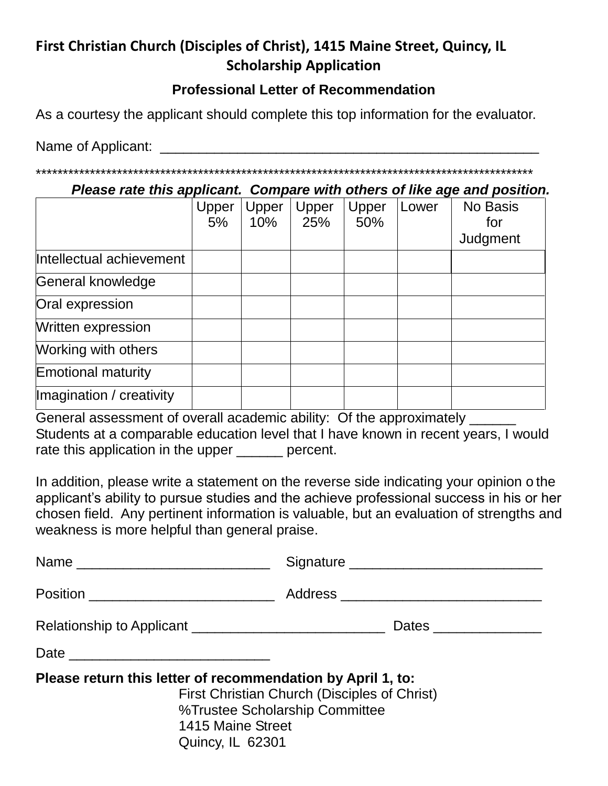## **First Christian Church (Disciples of Christ), 1415 Maine Street, Quincy, IL Scholarship Application**

#### **Professional Letter of Recommendation**

As a courtesy the applicant should complete this top information for the evaluator.

Name of Applicant: \_\_\_\_\_\_\_\_\_\_\_\_\_\_\_\_\_\_\_\_\_\_\_\_\_\_\_\_\_\_\_\_\_\_\_\_\_\_\_\_\_\_\_\_\_\_\_\_\_

\*\*\*\*\*\*\*\*\*\*\*\*\*\*\*\*\*\*\*\*\*\*\*\*\*\*\*\*\*\*\*\*\*\*\*\*\*\*\*\*\*\*\*\*\*\*\*\*\*\*\*\*\*\*\*\*\*\*\*\*\*\*\*\*\*\*\*\*\*\*\*\*\*\*\*\*\*\*\*\*\*\*\*\*\*\*\*\*\*\*\*\*

*Please rate this applicant. Compare with others of like age and position.*

|                           | Upper<br>5% | Upper<br>10% | Upper<br>25% | Upper<br>50% | Lower | No Basis<br>for<br>Judgment |
|---------------------------|-------------|--------------|--------------|--------------|-------|-----------------------------|
| Intellectual achievement  |             |              |              |              |       |                             |
| General knowledge         |             |              |              |              |       |                             |
| Oral expression           |             |              |              |              |       |                             |
| Written expression        |             |              |              |              |       |                             |
| Working with others       |             |              |              |              |       |                             |
| <b>Emotional maturity</b> |             |              |              |              |       |                             |
| Imagination / creativity  |             |              |              |              |       |                             |

General assessment of overall academic ability: Of the approximately \_\_\_\_\_\_ Students at a comparable education level that I have known in recent years, I would rate this application in the upper \_\_\_\_\_\_ percent.

In addition, please write a statement on the reverse side indicating your opinion o the applicant's ability to pursue studies and the achieve professional success in his or her chosen field. Any pertinent information is valuable, but an evaluation of strengths and weakness is more helpful than general praise.

| Position _____________________________                                                               |                                                                                |
|------------------------------------------------------------------------------------------------------|--------------------------------------------------------------------------------|
|                                                                                                      | Dates _______________                                                          |
|                                                                                                      |                                                                                |
| Please return this letter of recommendation by April 1, to:<br>1415 Maine Street<br>Quincy, IL 62301 | First Christian Church (Disciples of Christ)<br>%Trustee Scholarship Committee |